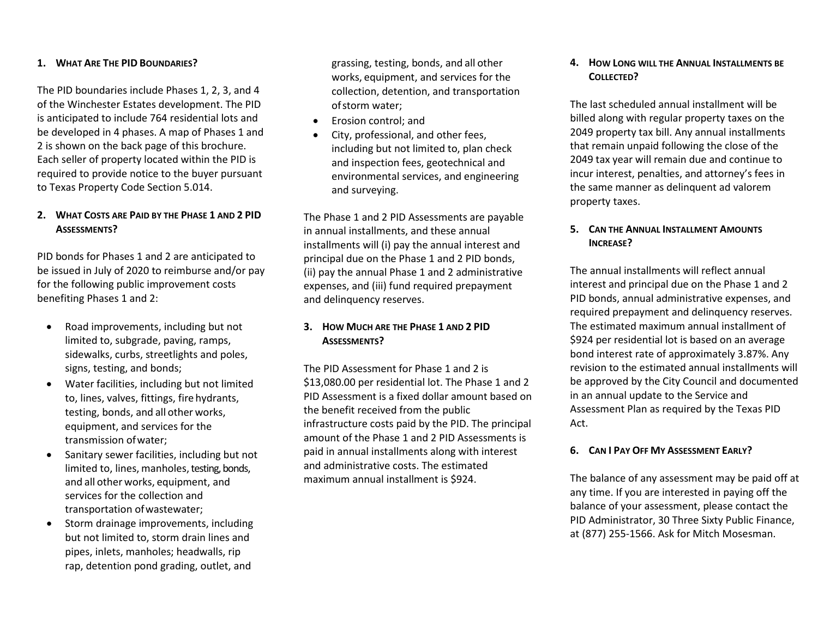#### **1. WHAT ARE THE PID BOUNDARIES?**

The PID boundaries include Phases 1, 2, 3, and 4 of the Winchester Estates development. The PID is anticipated to include 764 residential lots and be developed in 4 phases. A map of Phases 1 and 2 is shown on the back page of this brochure. Each seller of property located within the PID is required to provide notice to the buyer pursuant to Texas Property Code Section 5.014.

### **2. WHAT COSTS ARE PAID BY THE PHASE 1 AND 2 PID ASSESSMENTS?**

PID bonds for Phases 1 and 2 are anticipated to be issued in July of 2020 to reimburse and/or pay for the following public improvement costs benefiting Phases 1 and 2:

- Road improvements, including but not limited to, subgrade, paving, ramps, sidewalks, curbs, streetlights and poles, signs, testing, and bonds;
- Water facilities, including but not limited to, lines, valves, fittings, fire hydrants, testing, bonds, and all other works, equipment, and services for the transmission ofwater;
- Sanitary sewer facilities, including but not limited to, lines, manholes, testing, bonds, and all other works, equipment, and services for the collection and transportation ofwastewater;
- Storm drainage improvements, including but not limited to, storm drain lines and pipes, inlets, manholes; headwalls, rip rap, detention pond grading, outlet, and

grassing, testing, bonds, and all other works, equipment, and services for the collection, detention, and transportation ofstorm water;

- Erosion control; and
- City, professional, and other fees, including but not limited to, plan check and inspection fees, geotechnical and environmental services, and engineering and surveying.

The Phase 1 and 2 PID Assessments are payable in annual installments, and these annual installments will (i) pay the annual interest and principal due on the Phase 1 and 2 PID bonds, (ii) pay the annual Phase 1 and 2 administrative expenses, and (iii) fund required prepayment and delinquency reserves.

# **3. HOW MUCH ARE THE PHASE 1 AND 2 PID ASSESSMENTS?**

The PID Assessment for Phase 1 and 2 is \$13,080.00 per residential lot. The Phase 1 and 2 PID Assessment is a fixed dollar amount based on the benefit received from the public infrastructure costs paid by the PID. The principal amount of the Phase 1 and 2 PID Assessments is paid in annual installments along with interest and administrative costs. The estimated maximum annual installment is \$924.

### **4. HOW LONG WILL THE ANNUAL INSTALLMENTS BE COLLECTED?**

The last scheduled annual installment will be billed along with regular property taxes on the 2049 property tax bill. Any annual installments that remain unpaid following the close of the 2049 tax year will remain due and continue to incur interest, penalties, and attorney's fees in the same manner as delinquent ad valorem property taxes.

# **5. CAN THE ANNUAL INSTALLMENT AMOUNTS INCREASE?**

The annual installments will reflect annual interest and principal due on the Phase 1 and 2 PID bonds, annual administrative expenses, and required prepayment and delinquency reserves. The estimated maximum annual installment of \$924 per residential lot is based on an average bond interest rate of approximately 3.87%. Any revision to the estimated annual installments will be approved by the City Council and documented in an annual update to the Service and Assessment Plan as required by the Texas PID Act.

#### **6. CAN I PAY OFF MY ASSESSMENT EARLY?**

The balance of any assessment may be paid off at any time. If you are interested in paying off the balance of your assessment, please contact the PID Administrator, 30 Three Sixty Public Finance, at (877) 255-1566. Ask for Mitch Mosesman.